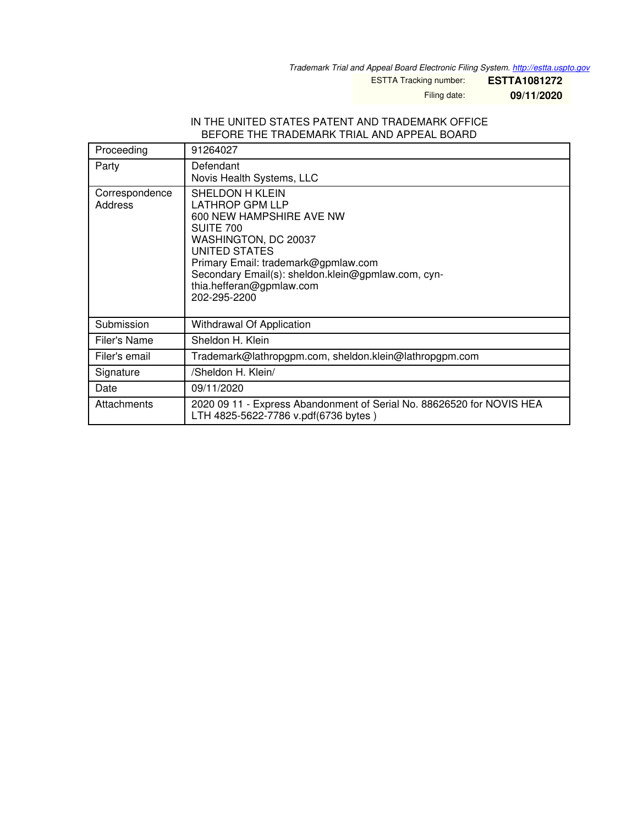*Trademark Trial and Appeal Board Electronic Filing System. <http://estta.uspto.gov>*

ESTTA Tracking number: **ESTTA1081272**

Filing date: **09/11/2020**

#### IN THE UNITED STATES PATENT AND TRADEMARK OFFICE BEFORE THE TRADEMARK TRIAL AND APPEAL BOARD

| Proceeding                | 91264027                                                                                                                                                                                                                                                                    |
|---------------------------|-----------------------------------------------------------------------------------------------------------------------------------------------------------------------------------------------------------------------------------------------------------------------------|
| Party                     | Defendant<br>Novis Health Systems, LLC                                                                                                                                                                                                                                      |
| Correspondence<br>Address | <b>SHELDON H KLEIN</b><br><b>LATHROP GPM LLP</b><br>600 NEW HAMPSHIRE AVE NW<br>SUITE 700<br>WASHINGTON, DC 20037<br>UNITED STATES<br>Primary Email: trademark@gpmlaw.com<br>Secondary Email(s): sheldon.klein@gpmlaw.com, cyn-<br>thia.hefferan@gpmlaw.com<br>202-295-2200 |
| Submission                | Withdrawal Of Application                                                                                                                                                                                                                                                   |
| Filer's Name              | Sheldon H. Klein                                                                                                                                                                                                                                                            |
| Filer's email             | Trademark@lathropgpm.com, sheldon.klein@lathropgpm.com                                                                                                                                                                                                                      |
| Signature                 | /Sheldon H. Klein/                                                                                                                                                                                                                                                          |
| Date                      | 09/11/2020                                                                                                                                                                                                                                                                  |
| Attachments               | 2020 09 11 - Express Abandonment of Serial No. 88626520 for NOVIS HEA<br>LTH 4825-5622-7786 v.pdf(6736 bytes)                                                                                                                                                               |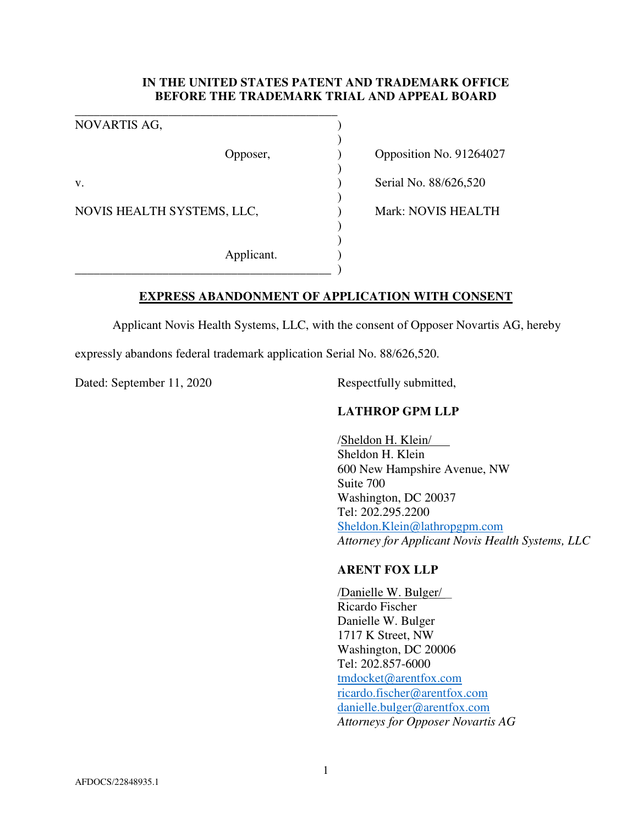# **IN THE UNITED STATES PATENT AND TRADEMARK OFFICE BEFORE THE TRADEMARK TRIAL AND APPEAL BOARD**

)

)

)

) )

\_\_\_\_\_\_\_\_\_\_\_\_\_\_\_\_\_\_\_\_\_\_\_\_\_\_\_\_\_\_\_\_\_\_\_\_\_\_\_\_\_\_ NOVARTIS AG, ) v. **Serial No. 88/626,520** NOVIS HEALTH SYSTEMS, LLC,  $Mark: NOVIS HEALTH$ Applicant. )

\_\_\_\_\_\_\_\_\_\_\_\_\_\_\_\_\_\_\_\_\_\_\_\_\_\_\_\_\_\_\_\_\_\_\_\_\_\_\_\_\_ )

Opposer, (a) Opposition No. 91264027

**EXPRESS ABANDONMENT OF APPLICATION WITH CONSENT** 

Applicant Novis Health Systems, LLC, with the consent of Opposer Novartis AG, hereby

expressly abandons federal trademark application Serial No. 88/626,520.

Dated: September 11, 2020 Respectfully submitted,

## **LATHROP GPM LLP**

/Sheldon H. Klein/ Sheldon H. Klein 600 New Hampshire Avenue, NW Suite 700 Washington, DC 20037 Tel: 202.295.2200 Sheldon.Klein@lathropgpm.com *Attorney for Applicant Novis Health Systems, LLC* 

### **ARENT FOX LLP**

/Danielle W. Bulger/ Ricardo Fischer Danielle W. Bulger 1717 K Street, NW Washington, DC 20006 Tel: 202.857-6000 tmdocket@arentfox.com ricardo.fischer@arentfox.com danielle.bulger@arentfox.com *Attorneys for Opposer Novartis AG*